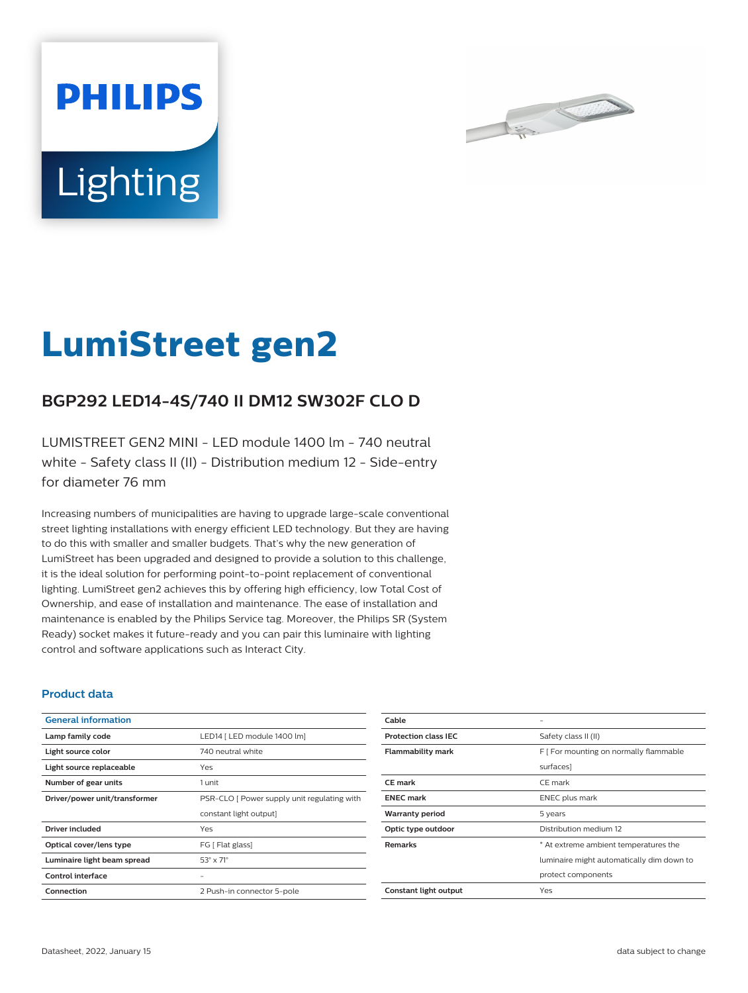



# **LumiStreet gen2**

# **BGP292 LED14-4S/740 II DM12 SW302F CLO D**

LUMISTREET GEN2 MINI - LED module 1400 lm - 740 neutral white - Safety class II (II) - Distribution medium 12 - Side-entry for diameter 76 mm

Increasing numbers of municipalities are having to upgrade large-scale conventional street lighting installations with energy efficient LED technology. But they are having to do this with smaller and smaller budgets. That's why the new generation of LumiStreet has been upgraded and designed to provide a solution to this challenge, it is the ideal solution for performing point-to-point replacement of conventional lighting. LumiStreet gen2 achieves this by offering high efficiency, low Total Cost of Ownership, and ease of installation and maintenance. The ease of installation and maintenance is enabled by the Philips Service tag. Moreover, the Philips SR (System Ready) socket makes it future-ready and you can pair this luminaire with lighting control and software applications such as Interact City.

#### **Product data**

| <b>General information</b>    |                                             |
|-------------------------------|---------------------------------------------|
| Lamp family code              | LED14   LED module 1400 lm]                 |
| Light source color            | 740 neutral white                           |
| Light source replaceable      | Yes                                         |
| Number of gear units          | 1 unit                                      |
| Driver/power unit/transformer | PSR-CLO [ Power supply unit regulating with |
|                               | constant light output]                      |
| Driver included               | Yes                                         |
| Optical cover/lens type       | FG [ Flat glass]                            |
| Luminaire light beam spread   | $53^\circ \times 71^\circ$                  |
| Control interface             |                                             |
| Connection                    | 2 Push-in connector 5-pole                  |

| Cable                       |                                           |
|-----------------------------|-------------------------------------------|
| <b>Protection class IEC</b> | Safety class II (II)                      |
| <b>Flammability mark</b>    | F [ For mounting on normally flammable    |
|                             | surfaces]                                 |
| <b>CE</b> mark              | CE mark                                   |
| <b>ENEC</b> mark            | <b>ENEC</b> plus mark                     |
| <b>Warranty period</b>      | 5 years                                   |
| Optic type outdoor          | Distribution medium 12                    |
| <b>Remarks</b>              | * At extreme ambient temperatures the     |
|                             | luminaire might automatically dim down to |
|                             | protect components                        |
| Constant light output       | Yes                                       |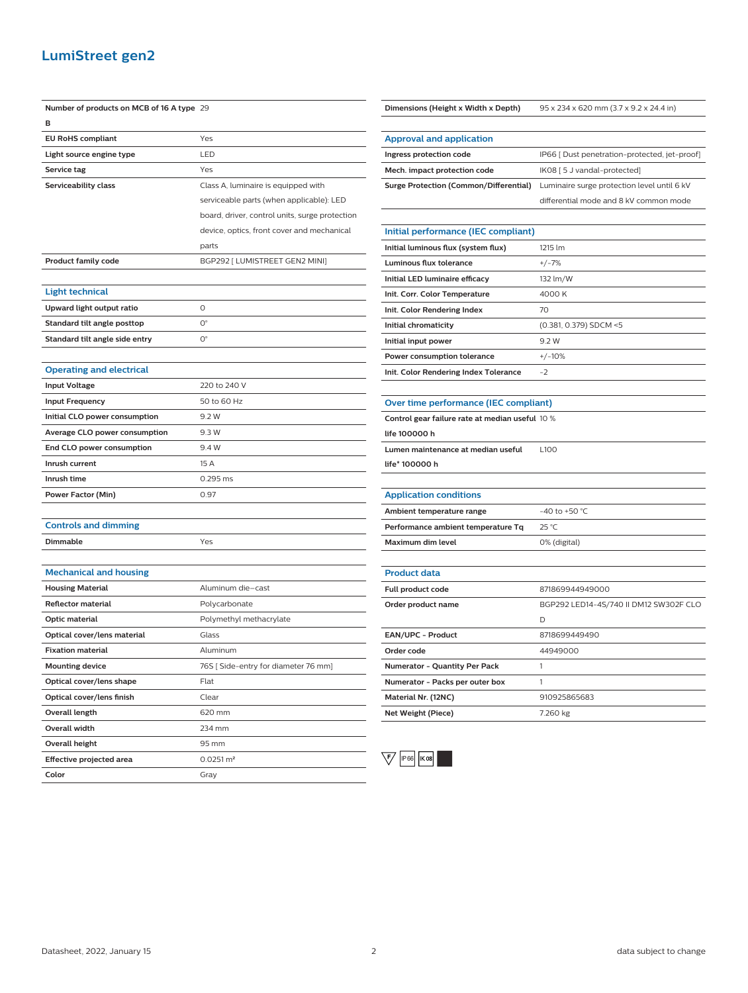### **LumiStreet gen2**

| Number of products on MCB of 16 A type 29 |                                                |
|-------------------------------------------|------------------------------------------------|
| в                                         |                                                |
| <b>EU RoHS compliant</b>                  | Yes                                            |
| Light source engine type                  | LED                                            |
| Service tag                               | Yes                                            |
| Serviceability class                      | Class A, luminaire is equipped with            |
|                                           | serviceable parts (when applicable): LED       |
|                                           | board, driver, control units, surge protection |
|                                           | device, optics, front cover and mechanical     |
|                                           | parts                                          |
| <b>Product family code</b>                | BGP292 [ LUMISTREET GEN2 MINI]                 |
|                                           |                                                |
| <b>Light technical</b>                    |                                                |
| Upward light output ratio                 | 0                                              |
| Standard tilt angle posttop               | 0°                                             |
| Standard tilt angle side entry            | О°                                             |
|                                           |                                                |
| <b>Operating and electrical</b>           |                                                |
| <b>Input Voltage</b>                      | 220 to 240 V                                   |
| <b>Input Frequency</b>                    | 50 to 60 Hz                                    |
| Initial CLO power consumption             | 9.2 W                                          |
| Average CLO power consumption             | 9.3 W                                          |
| End CLO power consumption                 | 9.4 W                                          |
| Inrush current                            | 15 A                                           |
| Inrush time                               | 0.295 ms                                       |
| Power Factor (Min)                        | 0.97                                           |
|                                           |                                                |
| <b>Controls and dimming</b>               |                                                |
| Dimmable                                  | Yes                                            |
|                                           |                                                |
| <b>Mechanical and housing</b>             |                                                |
| <b>Housing Material</b>                   | Aluminum die-cast                              |
| Reflector material                        | Polycarbonate                                  |
| Optic material                            | Polymethyl methacrylate                        |
| Optical cover/lens material               | Glass                                          |
| <b>Fixation material</b>                  | Aluminum                                       |
| <b>Mounting device</b>                    | 76S [ Side-entry for diameter 76 mm]           |
| Optical cover/lens shape                  | Flat                                           |
| Optical cover/lens finish                 | Clear                                          |
| Overall length                            | 620 mm                                         |
| Overall width                             | 234 mm                                         |
| <b>Overall height</b>                     | 95 mm                                          |
| Effective projected area                  | $0.0251 \, \text{m}^2$                         |
| Color                                     | Gray                                           |

#### **Dimensions (Height x Width x Depth)** 95 x 234 x 620 mm (3.7 x 9.2 x 24.4 in)

| Approval and application     |                                                                                           |
|------------------------------|-------------------------------------------------------------------------------------------|
| Ingress protection code      | IP66   Dust penetration-protected, jet-proof]                                             |
| Mech. impact protection code | IK08 [ 5 J vandal-protected]                                                              |
|                              | <b>Surge Protection (Common/Differential)</b> Luminaire surge protection level until 6 kV |
|                              | differential mode and 8 kV common mode                                                    |

#### **Initial performance (IEC compliant)**

| Initial luminous flux (system flux)   | 1215 Im                |
|---------------------------------------|------------------------|
| Luminous flux tolerance               | $+/-7%$                |
| Initial LED luminaire efficacy        | 132 lm/W               |
| Init. Corr. Color Temperature         | 4000 K                 |
| Init. Color Rendering Index           | 70                     |
| Initial chromaticity                  | (0.381, 0.379) SDCM <5 |
| Initial input power                   | 9.2W                   |
| Power consumption tolerance           | $+/-10%$               |
| Init. Color Rendering Index Tolerance | $-2$                   |

#### **Over time performance (IEC compliant)**

**Control gear failure rate at median useful** 10 %

| life 100000 h |  |  |
|---------------|--|--|
|---------------|--|--|

**Lumen maintenance at median useful** L100

**life\* 100000 h**

# **Application conditions**

| Ambient temperature range          | $-40$ to +50 °C. |
|------------------------------------|------------------|
| Performance ambient temperature Tq | 25 °C            |
| Maximum dim level                  | 0% (digital)     |

| <b>Product data</b>                  |                                        |
|--------------------------------------|----------------------------------------|
| Full product code                    | 871869944949000                        |
| Order product name                   | BGP292 LED14-4S/740 II DM12 SW302F CLO |
|                                      | D                                      |
| <b>EAN/UPC - Product</b>             | 8718699449490                          |
| Order code                           | 44949000                               |
| <b>Numerator - Quantity Per Pack</b> |                                        |
| Numerator - Packs per outer box      |                                        |
| Material Nr. (12NC)                  | 910925865683                           |
| Net Weight (Piece)                   | 7.260 kg                               |